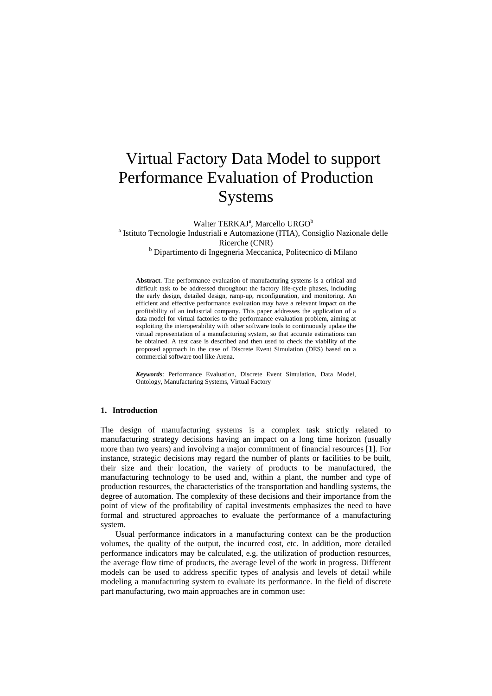# Virtual Factory Data Model to support Performance Evaluation of Production **Systems**

Walter TERKAJ<sup>a</sup>, Marcello URGO<sup>b</sup>

<sup>a</sup> Istituto Tecnologie Industriali e Automazione (ITIA), Consiglio Nazionale delle Ricerche (CNR)<br><sup>b</sup> Dipartimento di Ingegneria Meccanica, Politecnico di Milano

**Abstract**. The performance evaluation of manufacturing systems is a critical and difficult task to be addressed throughout the factory life-cycle phases, including the early design, detailed design, ramp-up, reconfiguration, and monitoring. An efficient and effective performance evaluation may have a relevant impact on the profitability of an industrial company. This paper addresses the application of a data model for virtual factories to the performance evaluation problem, aiming at exploiting the interoperability with other software tools to continuously update the virtual representation of a manufacturing system, so that accurate estimations can be obtained. A test case is described and then used to check the viability of the proposed approach in the case of Discrete Event Simulation (DES) based on a commercial software tool like Arena.

*Keywords*: Performance Evaluation, Discrete Event Simulation, Data Model, Ontology, Manufacturing Systems, Virtual Factory

# **1. Introduction**

The design of manufacturing systems is a complex task strictly related to manufacturing strategy decisions having an impact on a long time horizon (usually more than two years) and involving a major commitment of financial resources [**1**]. For instance, strategic decisions may regard the number of plants or facilities to be built, their size and their location, the variety of products to be manufactured, the manufacturing technology to be used and, within a plant, the number and type of production resources, the characteristics of the transportation and handling systems, the degree of automation. The complexity of these decisions and their importance from the point of view of the profitability of capital investments emphasizes the need to have formal and structured approaches to evaluate the performance of a manufacturing system.

Usual performance indicators in a manufacturing context can be the production volumes, the quality of the output, the incurred cost, etc. In addition, more detailed performance indicators may be calculated, e.g. the utilization of production resources, the average flow time of products, the average level of the work in progress. Different models can be used to address specific types of analysis and levels of detail while modeling a manufacturing system to evaluate its performance. In the field of discrete part manufacturing, two main approaches are in common use: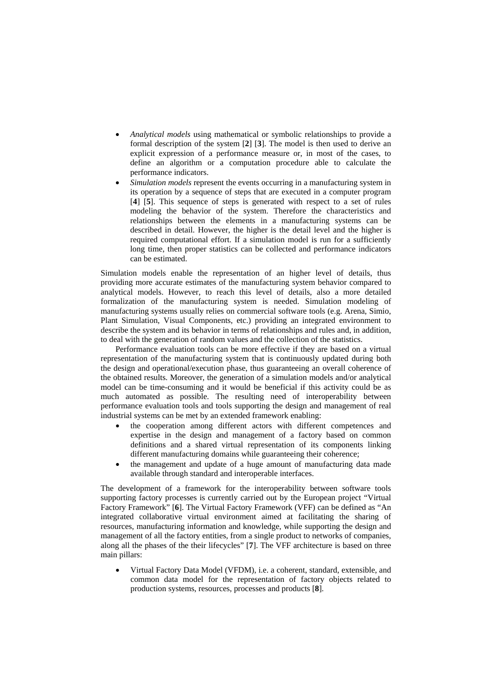- *Analytical models* using mathematical or symbolic relationships to provide a formal description of the system [**2**] [**3**]. The model is then used to derive an explicit expression of a performance measure or, in most of the cases, to define an algorithm or a computation procedure able to calculate the performance indicators.
- *Simulation models* represent the events occurring in a manufacturing system in its operation by a sequence of steps that are executed in a computer program [**4**] [**5**]. This sequence of steps is generated with respect to a set of rules modeling the behavior of the system. Therefore the characteristics and relationships between the elements in a manufacturing systems can be described in detail. However, the higher is the detail level and the higher is required computational effort. If a simulation model is run for a sufficiently long time, then proper statistics can be collected and performance indicators can be estimated.

Simulation models enable the representation of an higher level of details, thus providing more accurate estimates of the manufacturing system behavior compared to analytical models. However, to reach this level of details, also a more detailed formalization of the manufacturing system is needed. Simulation modeling of manufacturing systems usually relies on commercial software tools (e.g. Arena, Simio, Plant Simulation, Visual Components, etc.) providing an integrated environment to describe the system and its behavior in terms of relationships and rules and, in addition, to deal with the generation of random values and the collection of the statistics.

Performance evaluation tools can be more effective if they are based on a virtual representation of the manufacturing system that is continuously updated during both the design and operational/execution phase, thus guaranteeing an overall coherence of the obtained results. Moreover, the generation of a simulation models and/or analytical model can be time-consuming and it would be beneficial if this activity could be as much automated as possible. The resulting need of interoperability between performance evaluation tools and tools supporting the design and management of real industrial systems can be met by an extended framework enabling:

- the cooperation among different actors with different competences and expertise in the design and management of a factory based on common definitions and a shared virtual representation of its components linking different manufacturing domains while guaranteeing their coherence;
- the management and update of a huge amount of manufacturing data made available through standard and interoperable interfaces.

The development of a framework for the interoperability between software tools supporting factory processes is currently carried out by the European project "Virtual Factory Framework" [**6**]. The Virtual Factory Framework (VFF) can be defined as "An integrated collaborative virtual environment aimed at facilitating the sharing of resources, manufacturing information and knowledge, while supporting the design and management of all the factory entities, from a single product to networks of companies, along all the phases of the their lifecycles" [**7**]. The VFF architecture is based on three main pillars:

 Virtual Factory Data Model (VFDM), i.e. a coherent, standard, extensible, and common data model for the representation of factory objects related to production systems, resources, processes and products [**8**].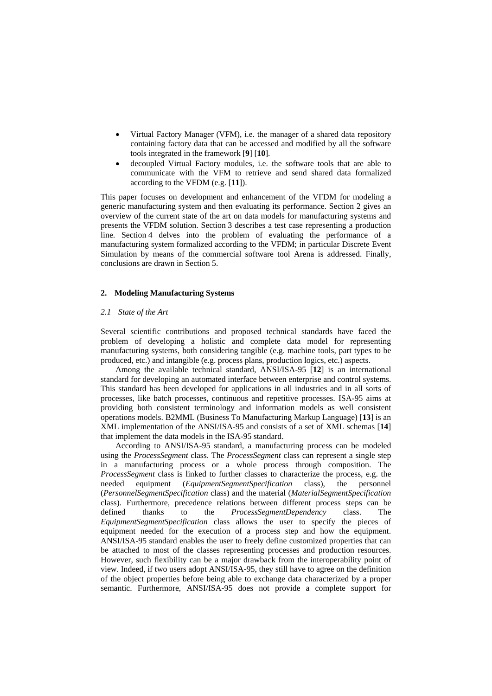- Virtual Factory Manager (VFM), i.e. the manager of a shared data repository containing factory data that can be accessed and modified by all the software tools integrated in the framework [**9**] [**10**].
- decoupled Virtual Factory modules, i.e. the software tools that are able to communicate with the VFM to retrieve and send shared data formalized according to the VFDM (e.g. [**11**]).

This paper focuses on development and enhancement of the VFDM for modeling a generic manufacturing system and then evaluating its performance. Section 2 gives an overview of the current state of the art on data models for manufacturing systems and presents the VFDM solution. Section 3 describes a test case representing a production line. Section 4 delves into the problem of evaluating the performance of a manufacturing system formalized according to the VFDM; in particular Discrete Event Simulation by means of the commercial software tool Arena is addressed. Finally, conclusions are drawn in Section 5.

# **2. Modeling Manufacturing Systems**

## *2.1 State of the Art*

Several scientific contributions and proposed technical standards have faced the problem of developing a holistic and complete data model for representing manufacturing systems, both considering tangible (e.g. machine tools, part types to be produced, etc.) and intangible (e.g. process plans, production logics, etc.) aspects.

Among the available technical standard, ANSI/ISA-95 [**12**] is an international standard for developing an automated interface between enterprise and control systems. This standard has been developed for applications in all industries and in all sorts of processes, like batch processes, continuous and repetitive processes. ISA-95 aims at providing both consistent terminology and information models as well consistent operations models. B2MML (Business To Manufacturing Markup Language) [**13**] is an XML implementation of the ANSI/ISA-95 and consists of a set of XML schemas [**14**] that implement the data models in the ISA-95 standard.

According to ANSI/ISA-95 standard, a manufacturing process can be modeled using the *ProcessSegment* class. The *ProcessSegment* class can represent a single step in a manufacturing process or a whole process through composition. The *ProcessSegment* class is linked to further classes to characterize the process, e.g. the needed equipment (*EquipmentSegmentSpecification* class), the personnel (*PersonnelSegmentSpecification* class) and the material (*MaterialSegmentSpecification* class). Furthermore, precedence relations between different process steps can be defined thanks to the *ProcessSegmentDependency* class. The *EquipmentSegmentSpecification* class allows the user to specify the pieces of equipment needed for the execution of a process step and how the equipment. ANSI/ISA-95 standard enables the user to freely define customized properties that can be attached to most of the classes representing processes and production resources. However, such flexibility can be a major drawback from the interoperability point of view. Indeed, if two users adopt ANSI/ISA-95, they still have to agree on the definition of the object properties before being able to exchange data characterized by a proper semantic. Furthermore, ANSI/ISA-95 does not provide a complete support for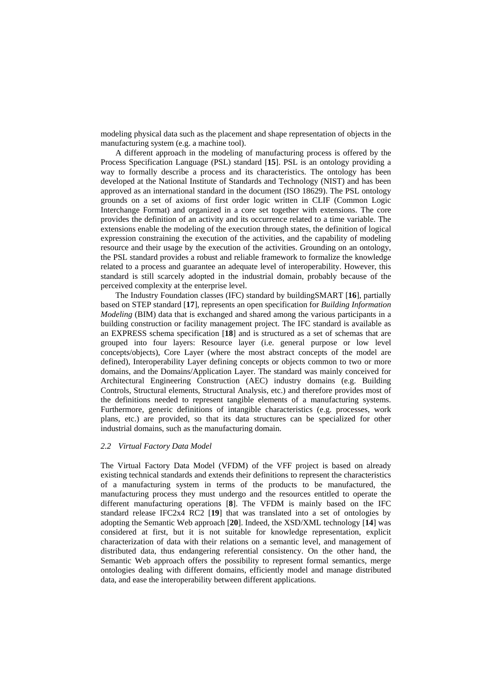modeling physical data such as the placement and shape representation of objects in the manufacturing system (e.g. a machine tool).

A different approach in the modeling of manufacturing process is offered by the Process Specification Language (PSL) standard [**15**]. PSL is an ontology providing a way to formally describe a process and its characteristics. The ontology has been developed at the National Institute of Standards and Technology (NIST) and has been approved as an international standard in the document (ISO 18629). The PSL ontology grounds on a set of axioms of first order logic written in CLIF (Common Logic Interchange Format) and organized in a core set together with extensions. The core provides the definition of an activity and its occurrence related to a time variable. The extensions enable the modeling of the execution through states, the definition of logical expression constraining the execution of the activities, and the capability of modeling resource and their usage by the execution of the activities. Grounding on an ontology, the PSL standard provides a robust and reliable framework to formalize the knowledge related to a process and guarantee an adequate level of interoperability. However, this standard is still scarcely adopted in the industrial domain, probably because of the perceived complexity at the enterprise level.

The Industry Foundation classes (IFC) standard by buildingSMART [**16**], partially based on STEP standard [**17**], represents an open specification for *Building Information Modeling* (BIM) data that is exchanged and shared among the various participants in a building construction or facility management project. The IFC standard is available as an EXPRESS schema specification [**18**] and is structured as a set of schemas that are grouped into four layers: Resource layer (i.e. general purpose or low level concepts/objects), Core Layer (where the most abstract concepts of the model are defined), Interoperability Layer defining concepts or objects common to two or more domains, and the Domains/Application Layer. The standard was mainly conceived for Architectural Engineering Construction (AEC) industry domains (e.g. Building Controls, Structural elements, Structural Analysis, etc.) and therefore provides most of the definitions needed to represent tangible elements of a manufacturing systems. Furthermore, generic definitions of intangible characteristics (e.g. processes, work plans, etc.) are provided, so that its data structures can be specialized for other industrial domains, such as the manufacturing domain.

#### *2.2 Virtual Factory Data Model*

The Virtual Factory Data Model (VFDM) of the VFF project is based on already existing technical standards and extends their definitions to represent the characteristics of a manufacturing system in terms of the products to be manufactured, the manufacturing process they must undergo and the resources entitled to operate the different manufacturing operations [**8**]. The VFDM is mainly based on the IFC standard release IFC2x4 RC2 [**19**] that was translated into a set of ontologies by adopting the Semantic Web approach [**20**]. Indeed, the XSD/XML technology [**14**] was considered at first, but it is not suitable for knowledge representation, explicit characterization of data with their relations on a semantic level, and management of distributed data, thus endangering referential consistency. On the other hand, the Semantic Web approach offers the possibility to represent formal semantics, merge ontologies dealing with different domains, efficiently model and manage distributed data, and ease the interoperability between different applications.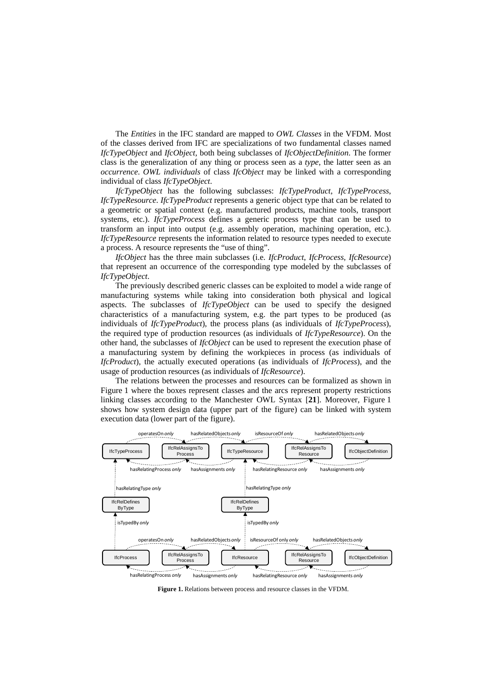The *Entities* in the IFC standard are mapped to *OWL Classes* in the VFDM. Most of the classes derived from IFC are specializations of two fundamental classes named *IfcTypeObject* and *IfcObject,* both being subclasses of *IfcObjectDefinition*. The former class is the generalization of any thing or process seen as a *type*, the latter seen as an *occurrence*. *OWL individuals* of class *IfcObject* may be linked with a corresponding individual of class *IfcTypeObject*.

*IfcTypeObject* has the following subclasses: *IfcTypeProduct*, *IfcTypeProcess*, *IfcTypeResource*. *IfcTypeProduct* represents a generic object type that can be related to a geometric or spatial context (e.g. manufactured products, machine tools, transport systems, etc.). *IfcTypeProcess* defines a generic process type that can be used to transform an input into output (e.g. assembly operation, machining operation, etc.). *IfcTypeResource* represents the information related to resource types needed to execute a process. A resource represents the "use of thing".

*IfcObject* has the three main subclasses (i.e. *IfcProduct*, *IfcProcess*, *IfcResource*) that represent an occurrence of the corresponding type modeled by the subclasses of *IfcTypeObject*.

The previously described generic classes can be exploited to model a wide range of manufacturing systems while taking into consideration both physical and logical aspects. The subclasses of *IfcTypeObject* can be used to specify the designed characteristics of a manufacturing system, e.g. the part types to be produced (as individuals of *IfcTypeProduct*), the process plans (as individuals of *IfcTypeProcess*), the required type of production resources (as individuals of *IfcTypeResource*). On the other hand, the subclasses of *IfcObject* can be used to represent the execution phase of a manufacturing system by defining the workpieces in process (as individuals of *IfcProduct*), the actually executed operations (as individuals of *IfcProcess*), and the usage of production resources (as individuals of *IfcResource*).

The relations between the processes and resources can be formalized as shown in Figure 1 where the boxes represent classes and the arcs represent property restrictions linking classes according to the Manchester OWL Syntax [**21**]. Moreover, Figure 1 shows how system design data (upper part of the figure) can be linked with system execution data (lower part of the figure).



**Figure 1.** Relations between process and resource classes in the VFDM.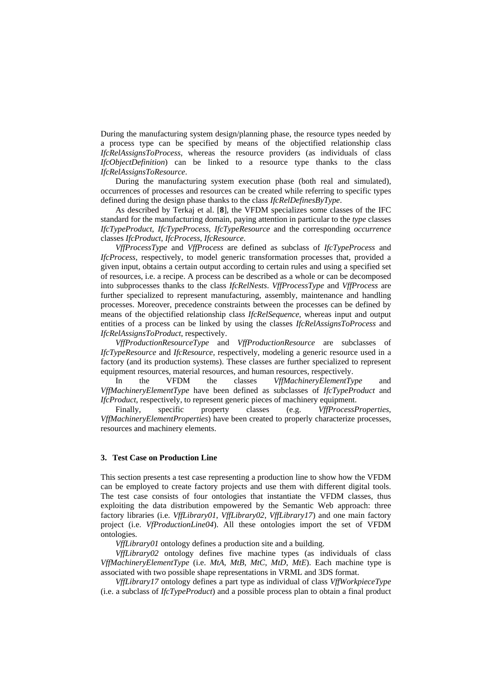During the manufacturing system design/planning phase, the resource types needed by a process type can be specified by means of the objectified relationship class *IfcRelAssignsToProcess*, whereas the resource providers (as individuals of class *IfcObjectDefinition*) can be linked to a resource type thanks to the class *IfcRelAssignsToResource*.

During the manufacturing system execution phase (both real and simulated), occurrences of processes and resources can be created while referring to specific types defined during the design phase thanks to the class *IfcRelDefinesByType*.

As described by Terkaj et al. [**8**], the VFDM specializes some classes of the IFC standard for the manufacturing domain, paying attention in particular to the *type* classes *IfcTypeProduct*, *IfcTypeProcess*, *IfcTypeResource* and the corresponding *occurrence* classes *IfcProduct*, *IfcProcess*, *IfcResource*.

*VffProcessType* and *VffProcess* are defined as subclass of *IfcTypeProcess* and *IfcProcess,* respectively, to model generic transformation processes that, provided a given input, obtains a certain output according to certain rules and using a specified set of resources, i.e. a recipe. A process can be described as a whole or can be decomposed into subprocesses thanks to the class *IfcRelNests*. *VffProcessType* and *VffProcess* are further specialized to represent manufacturing, assembly, maintenance and handling processes. Moreover, precedence constraints between the processes can be defined by means of the objectified relationship class *IfcRelSequence*, whereas input and output entities of a process can be linked by using the classes *IfcRelAssignsToProcess* and *IfcRelAssignsToProduct*, respectively.

*VffProductionResourceType* and *VffProductionResource* are subclasses of *IfcTypeResource* and *IfcResource,* respectively, modeling a generic resource used in a factory (and its production systems). These classes are further specialized to represent equipment resources, material resources, and human resources, respectively.

In the VFDM the classes *VffMachineryElementType* and *VffMachineryElementType* have been defined as subclasses of *IfcTypeProduct* and *IfcProduct*, respectively, to represent generic pieces of machinery equipment.

Finally, specific property classes (e.g. *VffProcessProperties*, *VffMachineryElementProperties*) have been created to properly characterize processes, resources and machinery elements.

## **3. Test Case on Production Line**

This section presents a test case representing a production line to show how the VFDM can be employed to create factory projects and use them with different digital tools. The test case consists of four ontologies that instantiate the VFDM classes, thus exploiting the data distribution empowered by the Semantic Web approach: three factory libraries (i.e. *VffLibrary01*, *VffLibrary02*, *VffLibrary17*) and one main factory project (i.e. *VfProductionLine04*). All these ontologies import the set of VFDM ontologies.

*VffLibrary01* ontology defines a production site and a building.

*VffLibrary02* ontology defines five machine types (as individuals of class *VffMachineryElementType* (i.e. *MtA*, *MtB*, *MtC*, *MtD*, *MtE*). Each machine type is associated with two possible shape representations in VRML and 3DS format.

*VffLibrary17* ontology defines a part type as individual of class *VffWorkpieceType* (i.e. a subclass of *IfcTypeProduct*) and a possible process plan to obtain a final product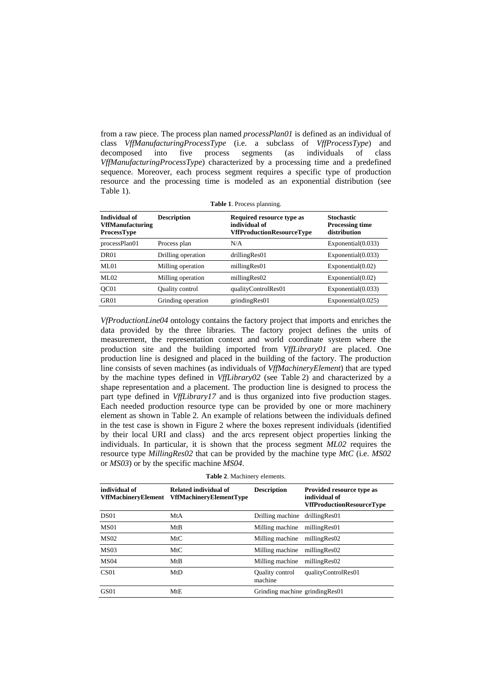from a raw piece. The process plan named *processPlan01* is defined as an individual of class *VffManufacturingProcessType* (i.e. a subclass of *VffProcessType*) and decomposed into five process segments (as individuals of class *VffManufacturingProcessType*) characterized by a processing time and a predefined sequence. Moreover, each process segment requires a specific type of production resource and the processing time is modeled as an exponential distribution (see Table 1).

| <b>Table 1.</b> Process planning.                              |                    |                                                                                       |                                                             |  |
|----------------------------------------------------------------|--------------------|---------------------------------------------------------------------------------------|-------------------------------------------------------------|--|
| Individual of<br><b>VffManufacturing</b><br><b>ProcessType</b> | <b>Description</b> | <b>Required resource type as</b><br>individual of<br><b>VffProductionResourceType</b> | <b>Stochastic</b><br><b>Processing time</b><br>distribution |  |
| processPlan01                                                  | Process plan       | N/A                                                                                   | Exponential(0.033)                                          |  |
| DR <sub>01</sub>                                               | Drilling operation | drillingRes01                                                                         | Exponential(0.033)                                          |  |
| ML01                                                           | Milling operation  | millingRes01                                                                          | Exponential(0.02)                                           |  |
| MI.02                                                          | Milling operation  | millingRes02                                                                          | Exponential(0.02)                                           |  |
| QC01                                                           | Quality control    | qualityControlRes01                                                                   | Exponential(0.033)                                          |  |
| GR <sub>01</sub>                                               | Grinding operation | grindingRes01                                                                         | Exponential(0.025)                                          |  |

*VfProductionLine04* ontology contains the factory project that imports and enriches the data provided by the three libraries. The factory project defines the units of measurement, the representation context and world coordinate system where the production site and the building imported from *VffLibrary01* are placed. One production line is designed and placed in the building of the factory. The production line consists of seven machines (as individuals of *VffMachineryElement*) that are typed by the machine types defined in *VffLibrary02* (see Table 2) and characterized by a shape representation and a placement. The production line is designed to process the part type defined in *VffLibrary17* and is thus organized into five production stages. Each needed production resource type can be provided by one or more machinery element as shown in Table 2. An example of relations between the individuals defined in the test case is shown in Figure 2 where the boxes represent individuals (identified by their local URI and class) and the arcs represent object properties linking the individuals. In particular, it is shown that the process segment *ML02* requires the resource type *MillingRes02* that can be provided by the machine type *MtC* (i.e. *MS02* or *MS03*) or by the specific machine *MS04*.

**Table 2**. Machinery elements.

| individual of<br>VffMachineryElement | Related individual of<br><b>VffMachineryElementType</b> | <b>Description</b>              | <b>Provided resource type as</b><br>individual of<br><b>VffProductionResourceType</b> |
|--------------------------------------|---------------------------------------------------------|---------------------------------|---------------------------------------------------------------------------------------|
| DS <sub>01</sub>                     | MtA                                                     | Drilling machine drilling Res01 |                                                                                       |
| MS <sub>01</sub>                     | MtB                                                     | Milling machine milling Res01   |                                                                                       |
| <b>MS02</b>                          | MtC                                                     | Milling machine                 | millingRes02                                                                          |
| MS <sub>03</sub>                     | MtC                                                     | Milling machine                 | millingRes02                                                                          |
| <b>MS04</b>                          | MtB                                                     | Milling machine                 | millingRes02                                                                          |
| CS <sub>01</sub>                     | MtD                                                     | Quality control<br>machine      | qualityControlRes01                                                                   |
| GS01                                 | MtE                                                     | Grinding machine grindingRes01  |                                                                                       |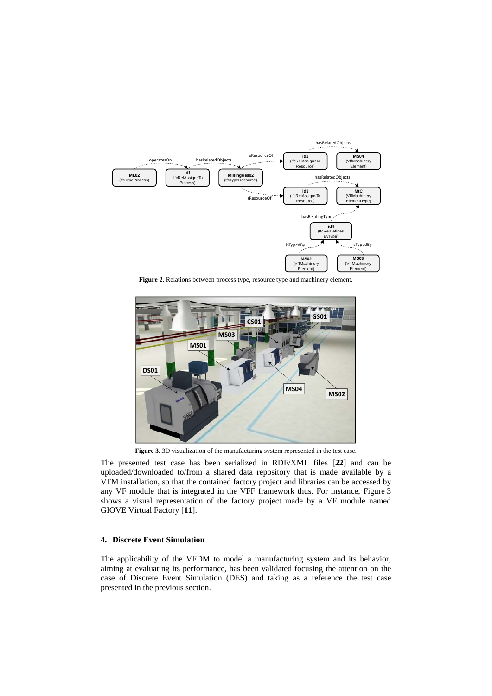

**Figure 2**. Relations between process type, resource type and machinery element.



Figure 3. 3D visualization of the manufacturing system represented in the test case.

The presented test case has been serialized in RDF/XML files [**22**] and can be uploaded/downloaded to/from a shared data repository that is made available by a VFM installation, so that the contained factory project and libraries can be accessed by any VF module that is integrated in the VFF framework thus. For instance, Figure 3 shows a visual representation of the factory project made by a VF module named GIOVE Virtual Factory [**11**].

# **4. Discrete Event Simulation**

The applicability of the VFDM to model a manufacturing system and its behavior, aiming at evaluating its performance, has been validated focusing the attention on the case of Discrete Event Simulation (DES) and taking as a reference the test case presented in the previous section.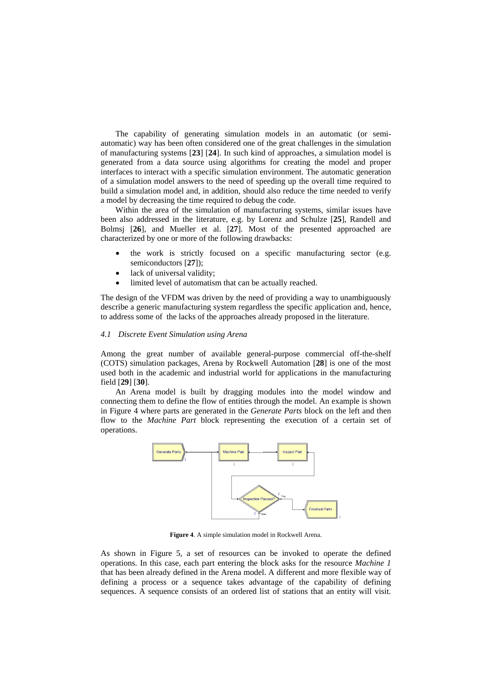The capability of generating simulation models in an automatic (or semiautomatic) way has been often considered one of the great challenges in the simulation of manufacturing systems [**23**] [**24**]. In such kind of approaches, a simulation model is generated from a data source using algorithms for creating the model and proper interfaces to interact with a specific simulation environment. The automatic generation of a simulation model answers to the need of speeding up the overall time required to build a simulation model and, in addition, should also reduce the time needed to verify a model by decreasing the time required to debug the code.

Within the area of the simulation of manufacturing systems, similar issues have been also addressed in the literature, e.g. by Lorenz and Schulze [**25**], Randell and Bolmsj [**26**], and Mueller et al. [**27**]. Most of the presented approached are characterized by one or more of the following drawbacks:

- the work is strictly focused on a specific manufacturing sector (e.g. semiconductors [**27**]);
- lack of universal validity;
- limited level of automatism that can be actually reached.

The design of the VFDM was driven by the need of providing a way to unambiguously describe a generic manufacturing system regardless the specific application and, hence, to address some of the lacks of the approaches already proposed in the literature.

## *4.1 Discrete Event Simulation using Arena*

Among the great number of available general-purpose commercial off-the-shelf (COTS) simulation packages, Arena by Rockwell Automation [**28**] is one of the most used both in the academic and industrial world for applications in the manufacturing field [**29**] [**30**].

An Arena model is built by dragging modules into the model window and connecting them to define the flow of entities through the model. An example is shown in Figure 4 where parts are generated in the *Generate Parts* block on the left and then flow to the *Machine Part* block representing the execution of a certain set of operations.



**Figure 4**. A simple simulation model in Rockwell Arena.

As shown in Figure 5, a set of resources can be invoked to operate the defined operations. In this case, each part entering the block asks for the resource *Machine 1* that has been already defined in the Arena model. A different and more flexible way of defining a process or a sequence takes advantage of the capability of defining sequences. A sequence consists of an ordered list of stations that an entity will visit.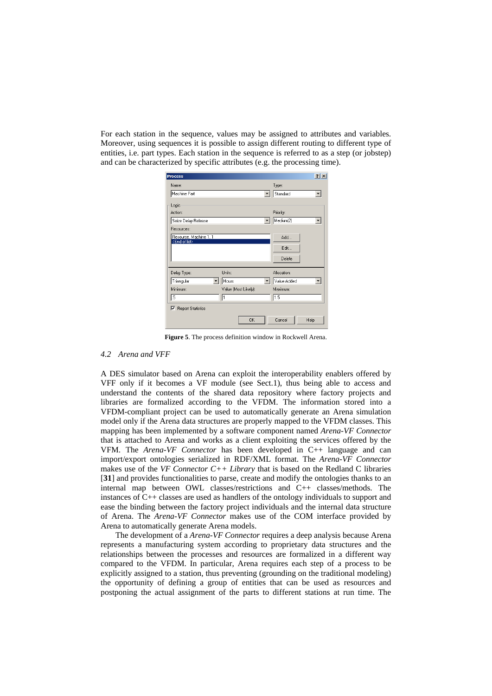For each station in the sequence, values may be assigned to attributes and variables. Moreover, using sequences it is possible to assign different routing to different type of entities, i.e. part types. Each station in the sequence is referred to as a step (or jobstep) and can be characterized by specific attributes (e.g. the processing time).

| <b>Process</b>                                      |                      |             | ?                        |
|-----------------------------------------------------|----------------------|-------------|--------------------------|
| Name:                                               |                      | Type:       |                          |
| Machine Part                                        |                      | Standard    | $\overline{\phantom{a}}$ |
| Logic                                               |                      |             |                          |
| Action:                                             |                      | Priority:   |                          |
| Seize Delay Release                                 |                      | Medium(2)   | ▼                        |
| Resources:                                          |                      |             |                          |
| Resource, Machine 1, 1<br><end list="" of=""></end> |                      | Add         |                          |
|                                                     |                      | Edit        |                          |
|                                                     |                      | Delete      |                          |
|                                                     |                      |             |                          |
| Delay Type:                                         | Units:               | Allocation: |                          |
| Triangular                                          | Hours                | Value Added | ▼                        |
| <b>Minimum:</b>                                     | Value (Most Likely): | Maximum:    |                          |
| 1.5                                                 | h                    | 1.5         |                          |
| <b>▽</b> Report Statistics                          |                      |             |                          |
|                                                     | 0K                   | Cancel      | Help                     |
|                                                     |                      |             |                          |

**Figure 5**. The process definition window in Rockwell Arena.

## *4.2 Arena and VFF*

A DES simulator based on Arena can exploit the interoperability enablers offered by VFF only if it becomes a VF module (see Sect.1), thus being able to access and understand the contents of the shared data repository where factory projects and libraries are formalized according to the VFDM. The information stored into a VFDM-compliant project can be used to automatically generate an Arena simulation model only if the Arena data structures are properly mapped to the VFDM classes. This mapping has been implemented by a software component named *Arena-VF Connector* that is attached to Arena and works as a client exploiting the services offered by the VFM. The *Arena-VF Connector* has been developed in C++ language and can import/export ontologies serialized in RDF/XML format. The *Arena-VF Connector*  makes use of the *VF Connector C++ Library* that is based on the Redland C libraries [**31**] and provides functionalities to parse, create and modify the ontologies thanks to an internal map between OWL classes/restrictions and C++ classes/methods. The instances of C++ classes are used as handlers of the ontology individuals to support and ease the binding between the factory project individuals and the internal data structure of Arena. The *Arena-VF Connector* makes use of the COM interface provided by Arena to automatically generate Arena models.

The development of a *Arena-VF Connector* requires a deep analysis because Arena represents a manufacturing system according to proprietary data structures and the relationships between the processes and resources are formalized in a different way compared to the VFDM. In particular, Arena requires each step of a process to be explicitly assigned to a station, thus preventing (grounding on the traditional modeling) the opportunity of defining a group of entities that can be used as resources and postponing the actual assignment of the parts to different stations at run time. The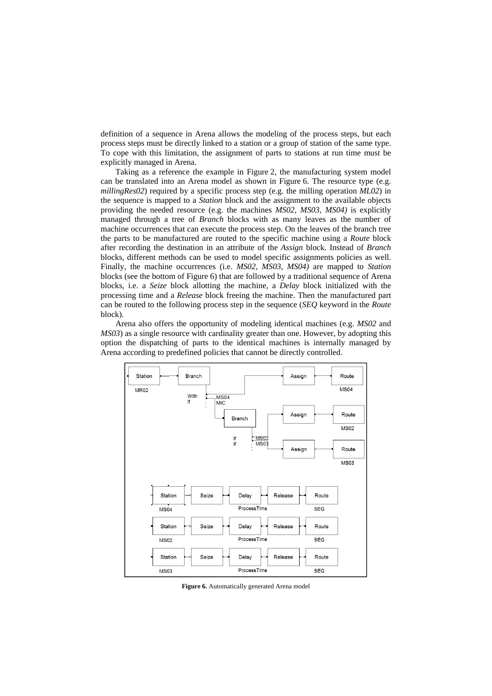definition of a sequence in Arena allows the modeling of the process steps, but each process steps must be directly linked to a station or a group of station of the same type. To cope with this limitation, the assignment of parts to stations at run time must be explicitly managed in Arena.

Taking as a reference the example in Figure 2, the manufacturing system model can be translated into an Arena model as shown in Figure 6. The resource type (e.g. *millingRes02*) required by a specific process step (e.g. the milling operation *ML02*) in the sequence is mapped to a *Station* block and the assignment to the available objects providing the needed resource (e.g. the machines *MS02*, *MS03, MS04)* is explicitly managed through a tree of *Branch* blocks with as many leaves as the number of machine occurrences that can execute the process step. On the leaves of the branch tree the parts to be manufactured are routed to the specific machine using a *Route* block after recording the destination in an attribute of the *Assign* block. Instead of *Branch*  blocks, different methods can be used to model specific assignments policies as well. Finally, the machine occurrences (i.e. *MS02*, *MS03, MS04)* are mapped to *Station* blocks (see the bottom of Figure 6) that are followed by a traditional sequence of Arena blocks, i.e. a *Seize* block allotting the machine, a *Delay* block initialized with the processing time and a *Release* block freeing the machine. Then the manufactured part can be routed to the following process step in the sequence (*SEQ* keyword in the *Route* block).

Arena also offers the opportunity of modeling identical machines (e.g. *MS02* and *MS03*) as a single resource with cardinality greater than one. However, by adopting this option the dispatching of parts to the identical machines is internally managed by Arena according to predefined policies that cannot be directly controlled.



**Figure 6.** Automatically generated Arena model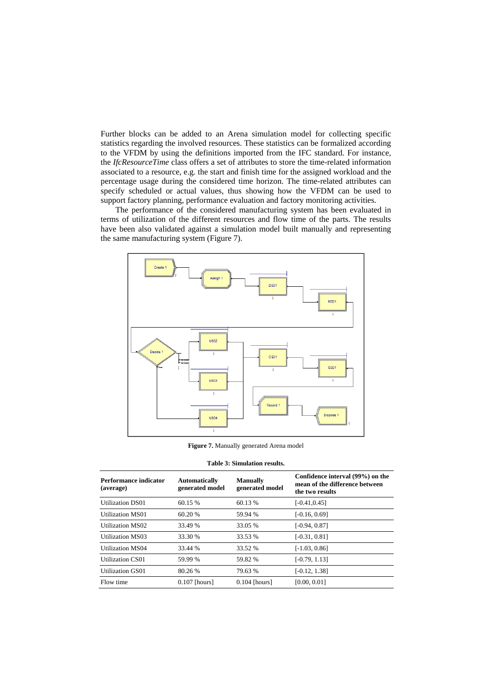Further blocks can be added to an Arena simulation model for collecting specific statistics regarding the involved resources. These statistics can be formalized according to the VFDM by using the definitions imported from the IFC standard. For instance, the *IfcResourceTime* class offers a set of attributes to store the time-related information associated to a resource, e.g. the start and finish time for the assigned workload and the percentage usage during the considered time horizon. The time-related attributes can specify scheduled or actual values, thus showing how the VFDM can be used to support factory planning, performance evaluation and factory monitoring activities.

The performance of the considered manufacturing system has been evaluated in terms of utilization of the different resources and flow time of the parts. The results have been also validated against a simulation model built manually and representing the same manufacturing system (Figure 7).



**Figure 7.** Manually generated Arena model

|  | <b>Table 3: Simulation results.</b> |  |
|--|-------------------------------------|--|
|--|-------------------------------------|--|

| Performance indicator<br>(average) | <b>Automatically</b><br>generated model | <b>Manually</b><br>generated model | Confidence interval (99%) on the<br>mean of the difference between<br>the two results |
|------------------------------------|-----------------------------------------|------------------------------------|---------------------------------------------------------------------------------------|
| <b>Utilization DS01</b>            | 60.15 %                                 | 60.13 %                            | $[-0.41, 0.45]$                                                                       |
| <b>Utilization MS01</b>            | 60.20%                                  | 59.94 %                            | $[-0.16, 0.69]$                                                                       |
| <b>Utilization MS02</b>            | 33.49 %                                 | 33.05 %                            | $[-0.94, 0.87]$                                                                       |
| <b>Utilization MS03</b>            | 33.30 %                                 | 33.53 %                            | $[-0.31, 0.81]$                                                                       |
| <b>Utilization MS04</b>            | 33.44 %                                 | 33.52 %                            | $[-1.03, 0.86]$                                                                       |
| <b>Utilization CS01</b>            | 59.99 %                                 | 59.82 %                            | $[-0.79, 1.13]$                                                                       |
| <b>Utilization GS01</b>            | 80.26 %                                 | 79.63 %                            | $[-0.12, 1.38]$                                                                       |
| Flow time                          | $0.107$ [hours]                         | $0.104$ [hours]                    | [0.00, 0.01]                                                                          |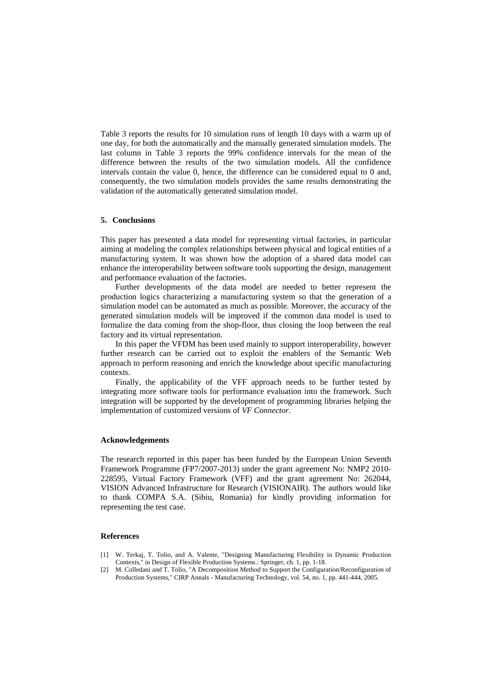Table 3 reports the results for 10 simulation runs of length 10 days with a warm up of one day, for both the automatically and the manually generated simulation models. The last column in Table 3 reports the 99% confidence intervals for the mean of the difference between the results of the two simulation models. All the confidence intervals contain the value 0, hence, the difference can be considered equal to 0 and, consequently, the two simulation models provides the same results demonstrating the validation of the automatically generated simulation model.

#### **5. Conclusions**

This paper has presented a data model for representing virtual factories, in particular aiming at modeling the complex relationships between physical and logical entities of a manufacturing system. It was shown how the adoption of a shared data model can enhance the interoperability between software tools supporting the design, management and performance evaluation of the factories.

Further developments of the data model are needed to better represent the production logics characterizing a manufacturing system so that the generation of a simulation model can be automated as much as possible. Moreover, the accuracy of the generated simulation models will be improved if the common data model is used to formalize the data coming from the shop-floor, thus closing the loop between the real factory and its virtual representation.

In this paper the VFDM has been used mainly to support interoperability, however further research can be carried out to exploit the enablers of the Semantic Web approach to perform reasoning and enrich the knowledge about specific manufacturing contexts.

Finally, the applicability of the VFF approach needs to be further tested by integrating more software tools for performance evaluation into the framework. Such integration will be supported by the development of programming libraries helping the implementation of customized versions of *VF Connector*.

## **Acknowledgements**

The research reported in this paper has been funded by the European Union Seventh Framework Programme (FP7/2007-2013) under the grant agreement No: NMP2 2010- 228595, Virtual Factory Framework (VFF) and the grant agreement No: 262044, VISION Advanced Infrastructure for Research (VISIONAIR). The authors would like to thank COMPA S.A. (Sibiu, Romania) for kindly providing information for representing the test case.

## **References**

- [1] W. Terkaj, T. Tolio, and A. Valente, "Designing Manufacturing Flexibility in Dynamic Production Contexts," in Design of Flexible Production Systems.: Springer, ch. 1, pp. 1-18.
- [2] M. Colledani and T. Tolio, "A Decomposition Method to Support the Configuration/Reconfiguration of Production Systems," CIRP Annals - Manufacturing Technology, vol. 54, no. 1, pp. 441-444, 2005.